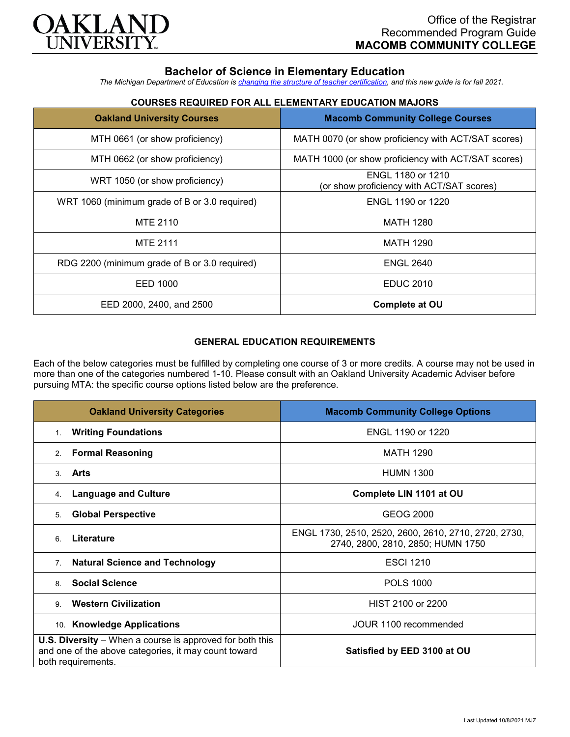

# **Bachelor of Science in Elementary Education**

*The Michigan Department of Education is [changing the structure of teacher certification,](https://docs.google.com/document/d/1W1uUK14Njx6WAB56T4jHbat65OZyg6TS04LdNWMXEcI/edit) and this new guide is for fall 2021.*

# **COURSES REQUIRED FOR ALL ELEMENTARY EDUCATION MAJORS**

| <b>Oakland University Courses</b>             | <b>Macomb Community College Courses</b>                        |
|-----------------------------------------------|----------------------------------------------------------------|
| MTH 0661 (or show proficiency)                | MATH 0070 (or show proficiency with ACT/SAT scores)            |
| MTH 0662 (or show proficiency)                | MATH 1000 (or show proficiency with ACT/SAT scores)            |
| WRT 1050 (or show proficiency)                | ENGL 1180 or 1210<br>(or show proficiency with ACT/SAT scores) |
| WRT 1060 (minimum grade of B or 3.0 required) | ENGL 1190 or 1220                                              |
| MTE 2110                                      | <b>MATH 1280</b>                                               |
| <b>MTE 2111</b>                               | <b>MATH 1290</b>                                               |
| RDG 2200 (minimum grade of B or 3.0 required) | <b>ENGL 2640</b>                                               |
| EED 1000                                      | <b>EDUC 2010</b>                                               |
| EED 2000, 2400, and 2500                      | Complete at OU                                                 |

## **GENERAL EDUCATION REQUIREMENTS**

Each of the below categories must be fulfilled by completing one course of 3 or more credits. A course may not be used in more than one of the categories numbered 1-10. Please consult with an Oakland University Academic Adviser before pursuing MTA: the specific course options listed below are the preference.

| <b>Oakland University Categories</b>                                                                                                          | <b>Macomb Community College Options</b>                                                   |
|-----------------------------------------------------------------------------------------------------------------------------------------------|-------------------------------------------------------------------------------------------|
| <b>Writing Foundations</b><br>1.                                                                                                              | ENGL 1190 or 1220                                                                         |
| <b>Formal Reasoning</b><br>2.                                                                                                                 | <b>MATH 1290</b>                                                                          |
| Arts<br>$\mathcal{S}$                                                                                                                         | <b>HUMN 1300</b>                                                                          |
| <b>Language and Culture</b><br>4.                                                                                                             | Complete LIN 1101 at OU                                                                   |
| <b>Global Perspective</b><br>5.                                                                                                               | <b>GEOG 2000</b>                                                                          |
| Literature<br>6                                                                                                                               | ENGL 1730, 2510, 2520, 2600, 2610, 2710, 2720, 2730,<br>2740, 2800, 2810, 2850; HUMN 1750 |
| <b>Natural Science and Technology</b><br>7 <sub>1</sub>                                                                                       | <b>ESCI 1210</b>                                                                          |
| <b>Social Science</b><br>8                                                                                                                    | <b>POLS 1000</b>                                                                          |
| <b>Western Civilization</b><br>$\mathbf{Q}$                                                                                                   | HIST 2100 or 2200                                                                         |
| 10. Knowledge Applications                                                                                                                    | JOUR 1100 recommended                                                                     |
| <b>U.S. Diversity</b> – When a course is approved for both this<br>and one of the above categories, it may count toward<br>both requirements. | Satisfied by EED 3100 at OU                                                               |